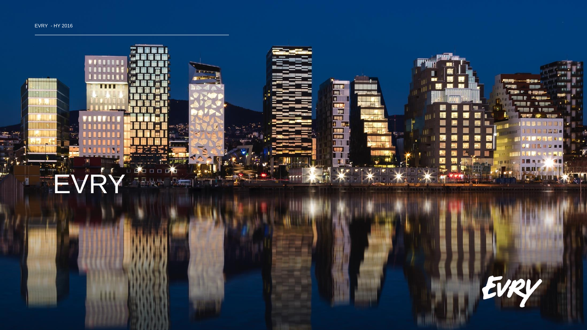

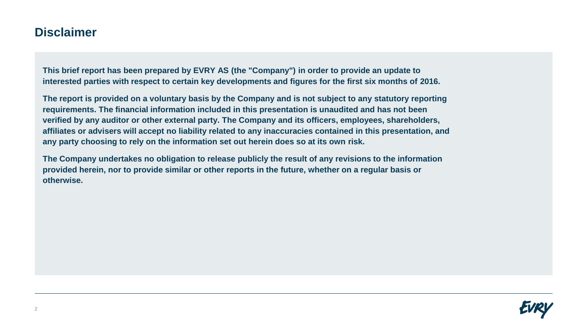## **Disclaimer**

**This brief report has been prepared by EVRY AS (the "Company") in order to provide an update to interested parties with respect to certain key developments and figures for the first six months of 2016.**

**The report is provided on a voluntary basis by the Company and is not subject to any statutory reporting requirements. The financial information included in this presentation is unaudited and has not been verified by any auditor or other external party. The Company and its officers, employees, shareholders, affiliates or advisers will accept no liability related to any inaccuracies contained in this presentation, and any party choosing to rely on the information set out herein does so at its own risk.**

**The Company undertakes no obligation to release publicly the result of any revisions to the information provided herein, nor to provide similar or other reports in the future, whether on a regular basis or otherwise.** 

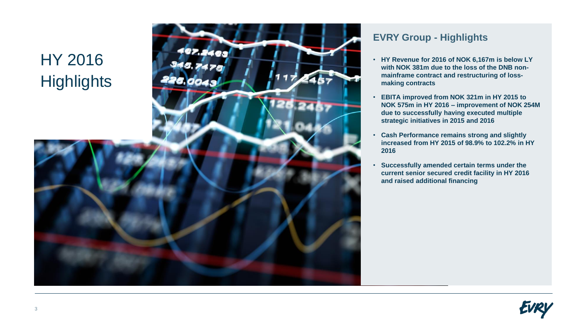## HY 2016



## **EVRY Group - Highlights**

- **HY Revenue for 2016 of NOK 6,167m is below LY with NOK 381m due to the loss of the DNB nonmainframe contract and restructuring of lossmaking contracts**
- **EBITA improved from NOK 321m in HY 2015 to NOK 575m in HY 2016 – improvement of NOK 254M due to successfully having executed multiple strategic initiatives in 2015 and 2016**
- **Cash Performance remains strong and slightly increased from HY 2015 of 98.9% to 102.2% in HY 2016**
- **Successfully amended certain terms under the current senior secured credit facility in HY 2016 and raised additional financing**